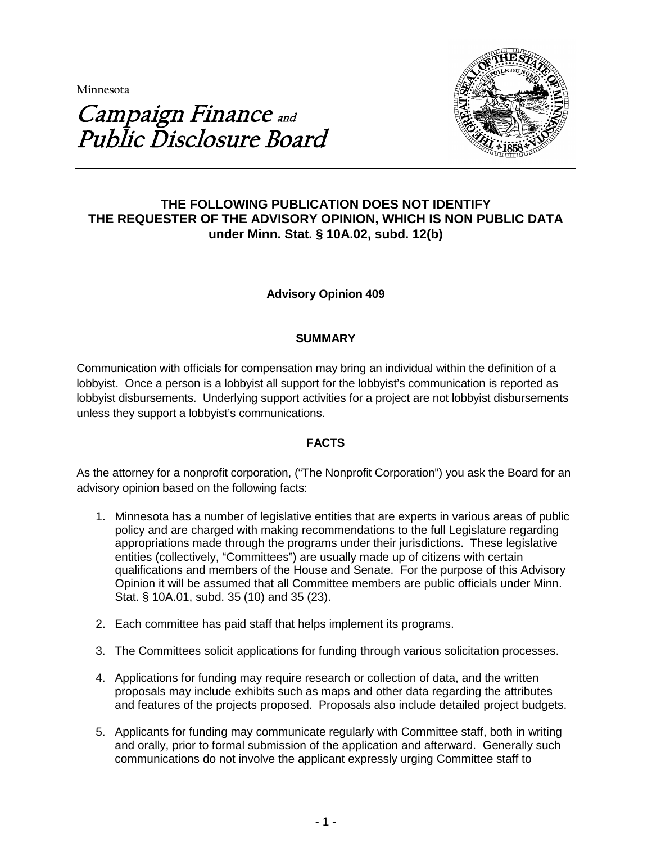**Minnesota** 



# Campaign Finance and Public Disclosure Board

# **THE FOLLOWING PUBLICATION DOES NOT IDENTIFY THE REQUESTER OF THE ADVISORY OPINION, WHICH IS NON PUBLIC DATA under Minn. Stat. § 10A.02, subd. 12(b)**

# **Advisory Opinion 409**

# **SUMMARY**

Communication with officials for compensation may bring an individual within the definition of a lobbyist. Once a person is a lobbyist all support for the lobbyist's communication is reported as lobbyist disbursements. Underlying support activities for a project are not lobbyist disbursements unless they support a lobbyist's communications.

# **FACTS**

As the attorney for a nonprofit corporation, ("The Nonprofit Corporation") you ask the Board for an advisory opinion based on the following facts:

- 1. Minnesota has a number of legislative entities that are experts in various areas of public policy and are charged with making recommendations to the full Legislature regarding appropriations made through the programs under their jurisdictions. These legislative entities (collectively, "Committees") are usually made up of citizens with certain qualifications and members of the House and Senate. For the purpose of this Advisory Opinion it will be assumed that all Committee members are public officials under Minn. Stat. § 10A.01, subd. 35 (10) and 35 (23).
- 2. Each committee has paid staff that helps implement its programs.
- 3. The Committees solicit applications for funding through various solicitation processes.
- 4. Applications for funding may require research or collection of data, and the written proposals may include exhibits such as maps and other data regarding the attributes and features of the projects proposed. Proposals also include detailed project budgets.
- 5. Applicants for funding may communicate regularly with Committee staff, both in writing and orally, prior to formal submission of the application and afterward. Generally such communications do not involve the applicant expressly urging Committee staff to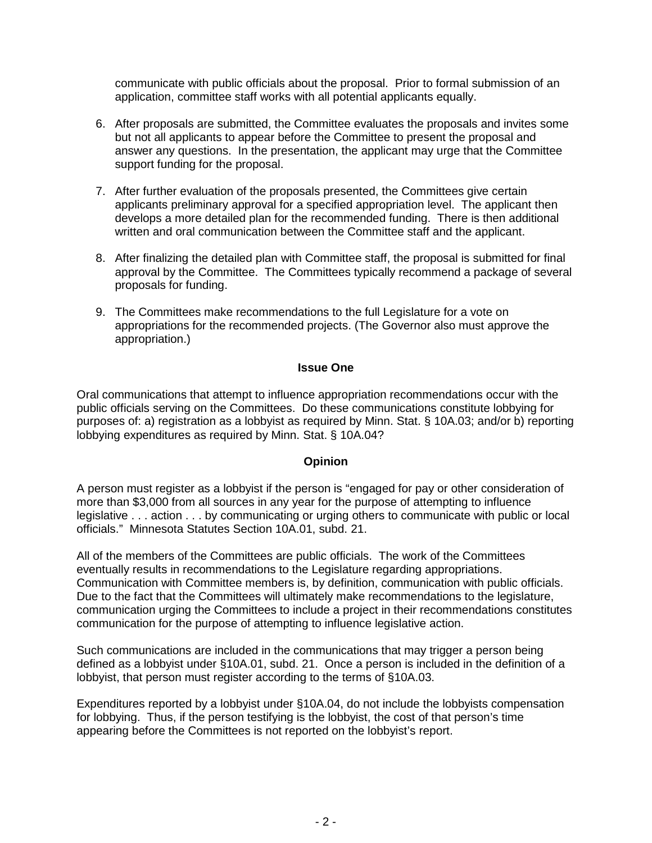communicate with public officials about the proposal. Prior to formal submission of an application, committee staff works with all potential applicants equally.

- 6. After proposals are submitted, the Committee evaluates the proposals and invites some but not all applicants to appear before the Committee to present the proposal and answer any questions. In the presentation, the applicant may urge that the Committee support funding for the proposal.
- 7. After further evaluation of the proposals presented, the Committees give certain applicants preliminary approval for a specified appropriation level. The applicant then develops a more detailed plan for the recommended funding. There is then additional written and oral communication between the Committee staff and the applicant.
- 8. After finalizing the detailed plan with Committee staff, the proposal is submitted for final approval by the Committee. The Committees typically recommend a package of several proposals for funding.
- 9. The Committees make recommendations to the full Legislature for a vote on appropriations for the recommended projects. (The Governor also must approve the appropriation.)

## **Issue One**

Oral communications that attempt to influence appropriation recommendations occur with the public officials serving on the Committees. Do these communications constitute lobbying for purposes of: a) registration as a lobbyist as required by Minn. Stat. § 10A.03; and/or b) reporting lobbying expenditures as required by Minn. Stat. § 10A.04?

#### **Opinion**

A person must register as a lobbyist if the person is "engaged for pay or other consideration of more than \$3,000 from all sources in any year for the purpose of attempting to influence legislative . . . action . . . by communicating or urging others to communicate with public or local officials." Minnesota Statutes Section 10A.01, subd. 21.

All of the members of the Committees are public officials. The work of the Committees eventually results in recommendations to the Legislature regarding appropriations. Communication with Committee members is, by definition, communication with public officials. Due to the fact that the Committees will ultimately make recommendations to the legislature, communication urging the Committees to include a project in their recommendations constitutes communication for the purpose of attempting to influence legislative action.

Such communications are included in the communications that may trigger a person being defined as a lobbyist under §10A.01, subd. 21. Once a person is included in the definition of a lobbyist, that person must register according to the terms of §10A.03.

Expenditures reported by a lobbyist under §10A.04, do not include the lobbyists compensation for lobbying. Thus, if the person testifying is the lobbyist, the cost of that person's time appearing before the Committees is not reported on the lobbyist's report.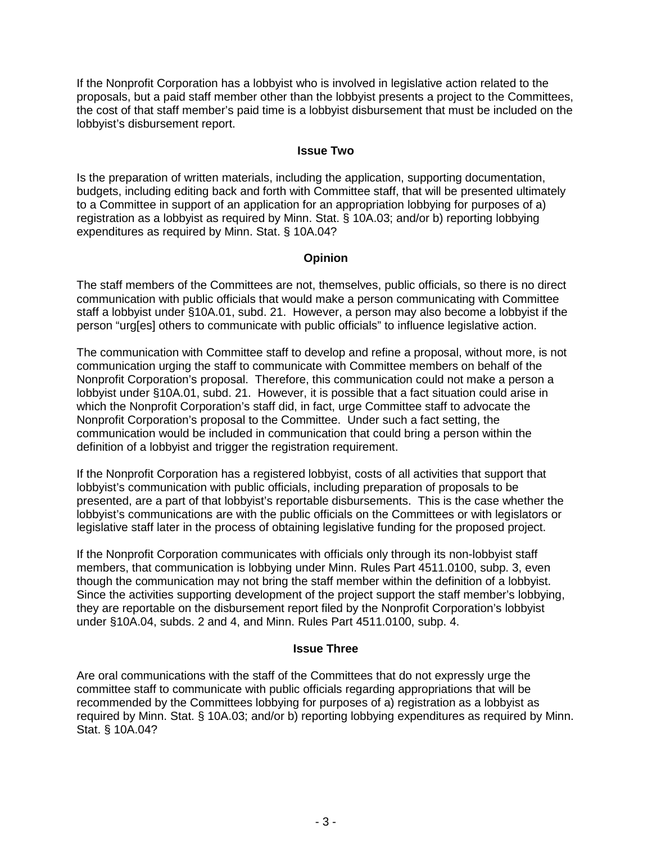If the Nonprofit Corporation has a lobbyist who is involved in legislative action related to the proposals, but a paid staff member other than the lobbyist presents a project to the Committees, the cost of that staff member's paid time is a lobbyist disbursement that must be included on the lobbyist's disbursement report.

#### **Issue Two**

Is the preparation of written materials, including the application, supporting documentation, budgets, including editing back and forth with Committee staff, that will be presented ultimately to a Committee in support of an application for an appropriation lobbying for purposes of a) registration as a lobbyist as required by Minn. Stat. § 10A.03; and/or b) reporting lobbying expenditures as required by Minn. Stat. § 10A.04?

# **Opinion**

The staff members of the Committees are not, themselves, public officials, so there is no direct communication with public officials that would make a person communicating with Committee staff a lobbyist under §10A.01, subd. 21. However, a person may also become a lobbyist if the person "urg[es] others to communicate with public officials" to influence legislative action.

The communication with Committee staff to develop and refine a proposal, without more, is not communication urging the staff to communicate with Committee members on behalf of the Nonprofit Corporation's proposal. Therefore, this communication could not make a person a lobbyist under §10A.01, subd. 21. However, it is possible that a fact situation could arise in which the Nonprofit Corporation's staff did, in fact, urge Committee staff to advocate the Nonprofit Corporation's proposal to the Committee. Under such a fact setting, the communication would be included in communication that could bring a person within the definition of a lobbyist and trigger the registration requirement.

If the Nonprofit Corporation has a registered lobbyist, costs of all activities that support that lobbyist's communication with public officials, including preparation of proposals to be presented, are a part of that lobbyist's reportable disbursements. This is the case whether the lobbyist's communications are with the public officials on the Committees or with legislators or legislative staff later in the process of obtaining legislative funding for the proposed project.

If the Nonprofit Corporation communicates with officials only through its non-lobbyist staff members, that communication is lobbying under Minn. Rules Part 4511.0100, subp. 3, even though the communication may not bring the staff member within the definition of a lobbyist. Since the activities supporting development of the project support the staff member's lobbying, they are reportable on the disbursement report filed by the Nonprofit Corporation's lobbyist under §10A.04, subds. 2 and 4, and Minn. Rules Part 4511.0100, subp. 4.

#### **Issue Three**

Are oral communications with the staff of the Committees that do not expressly urge the committee staff to communicate with public officials regarding appropriations that will be recommended by the Committees lobbying for purposes of a) registration as a lobbyist as required by Minn. Stat. § 10A.03; and/or b) reporting lobbying expenditures as required by Minn. Stat. § 10A.04?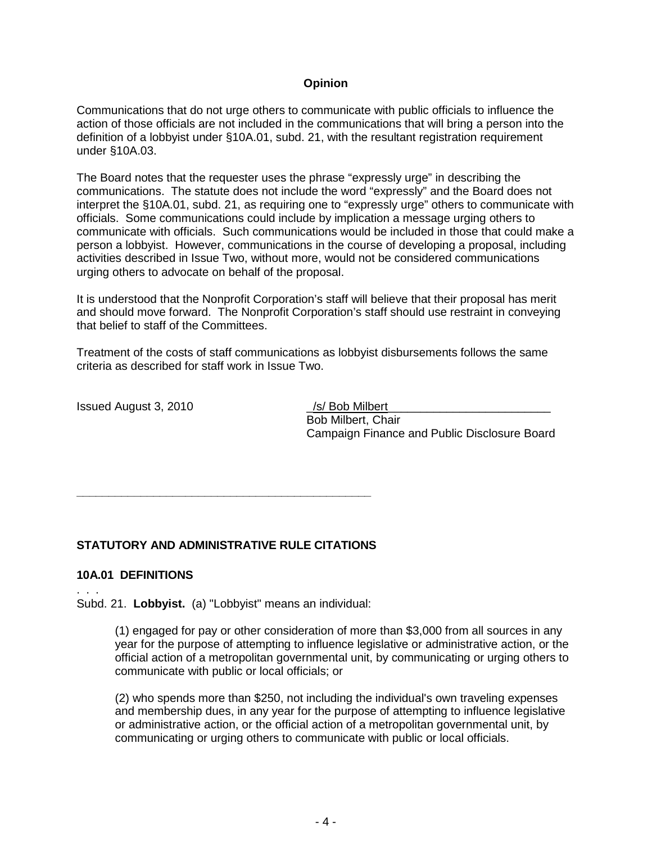## **Opinion**

Communications that do not urge others to communicate with public officials to influence the action of those officials are not included in the communications that will bring a person into the definition of a lobbyist under §10A.01, subd. 21, with the resultant registration requirement under §10A.03.

The Board notes that the requester uses the phrase "expressly urge" in describing the communications. The statute does not include the word "expressly" and the Board does not interpret the §10A.01, subd. 21, as requiring one to "expressly urge" others to communicate with officials. Some communications could include by implication a message urging others to communicate with officials. Such communications would be included in those that could make a person a lobbyist. However, communications in the course of developing a proposal, including activities described in Issue Two, without more, would not be considered communications urging others to advocate on behalf of the proposal.

It is understood that the Nonprofit Corporation's staff will believe that their proposal has merit and should move forward. The Nonprofit Corporation's staff should use restraint in conveying that belief to staff of the Committees.

Treatment of the costs of staff communications as lobbyist disbursements follows the same criteria as described for staff work in Issue Two.

Issued August 3, 2010 | /s/ Bob Milbert

Bob Milbert, Chair Campaign Finance and Public Disclosure Board

# **STATUTORY AND ADMINISTRATIVE RULE CITATIONS**

**\_\_\_\_\_\_\_\_\_\_\_\_\_\_\_\_\_\_\_\_\_\_\_\_\_\_\_\_\_\_\_\_\_\_\_\_\_\_\_\_\_\_\_\_\_\_**

#### **10A.01 DEFINITIONS**

. . . Subd. 21. **Lobbyist.** (a) "Lobbyist" means an individual:

> (1) engaged for pay or other consideration of more than \$3,000 from all sources in any year for the purpose of attempting to influence legislative or administrative action, or the official action of a metropolitan governmental unit, by communicating or urging others to communicate with public or local officials; or

> (2) who spends more than \$250, not including the individual's own traveling expenses and membership dues, in any year for the purpose of attempting to influence legislative or administrative action, or the official action of a metropolitan governmental unit, by communicating or urging others to communicate with public or local officials.